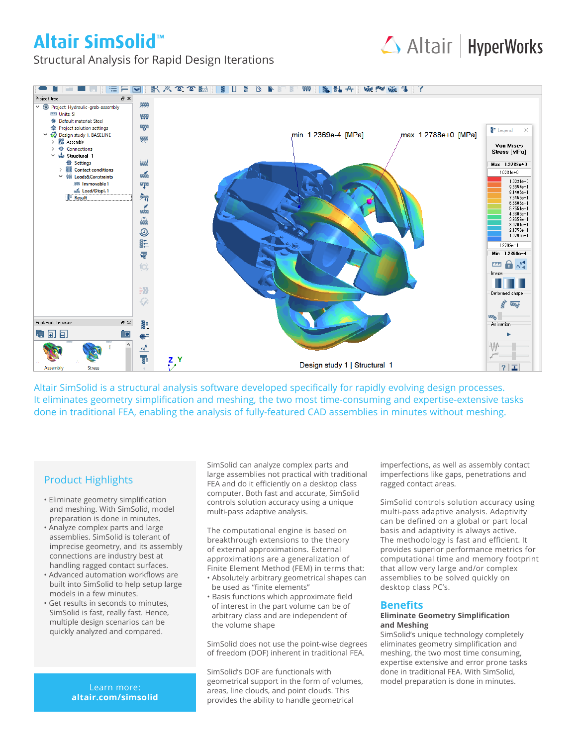# **Altair SimSolid™**



Structural Analysis for Rapid Design Iterations



Altair SimSolid is a structural analysis software developed specifically for rapidly evolving design processes. It eliminates geometry simplification and meshing, the two most time-consuming and expertise-extensive tasks done in traditional FEA, enabling the analysis of fully-featured CAD assemblies in minutes without meshing.

## Product Highlights

- Eliminate geometry simplification and meshing. With SimSolid, model preparation is done in minutes.
- Analyze complex parts and large assemblies. SimSolid is tolerant of imprecise geometry, and its assembly connections are industry best at handling ragged contact surfaces.
- Advanced automation workflows are built into SimSolid to help setup large models in a few minutes.
- Get results in seconds to minutes, SimSolid is fast, really fast. Hence, multiple design scenarios can be quickly analyzed and compared.

**altair.com/simsolid**

SimSolid can analyze complex parts and large assemblies not practical with traditional FEA and do it efficiently on a desktop class computer. Both fast and accurate, SimSolid controls solution accuracy using a unique multi-pass adaptive analysis.

The computational engine is based on breakthrough extensions to the theory of external approximations. External approximations are a generalization of Finite Element Method (FEM) in terms that:

- Absolutely arbitrary geometrical shapes can be used as "finite elements"
- Basis functions which approximate field of interest in the part volume can be of arbitrary class and are independent of the volume shape

SimSolid does not use the point-wise degrees of freedom (DOF) inherent in traditional FEA.

SimSolid's DOF are functionals with geometrical support in the form of volumes, and preparation is done in minutes.<br>Learn more:<br>exparation areas line clouds and point clouds. This areas, line clouds, and point clouds. This provides the ability to handle geometrical

imperfections, as well as assembly contact imperfections like gaps, penetrations and ragged contact areas.

SimSolid controls solution accuracy using multi-pass adaptive analysis. Adaptivity can be defined on a global or part local basis and adaptivity is always active. The methodology is fast and efficient. It provides superior performance metrics for computational time and memory footprint that allow very large and/or complex assemblies to be solved quickly on desktop class PC's.

## **Benefits**

#### **Eliminate Geometry Simplification and Meshing**

SimSolid's unique technology completely eliminates geometry simplification and meshing, the two most time consuming, expertise extensive and error prone tasks done in traditional FEA. With SimSolid,